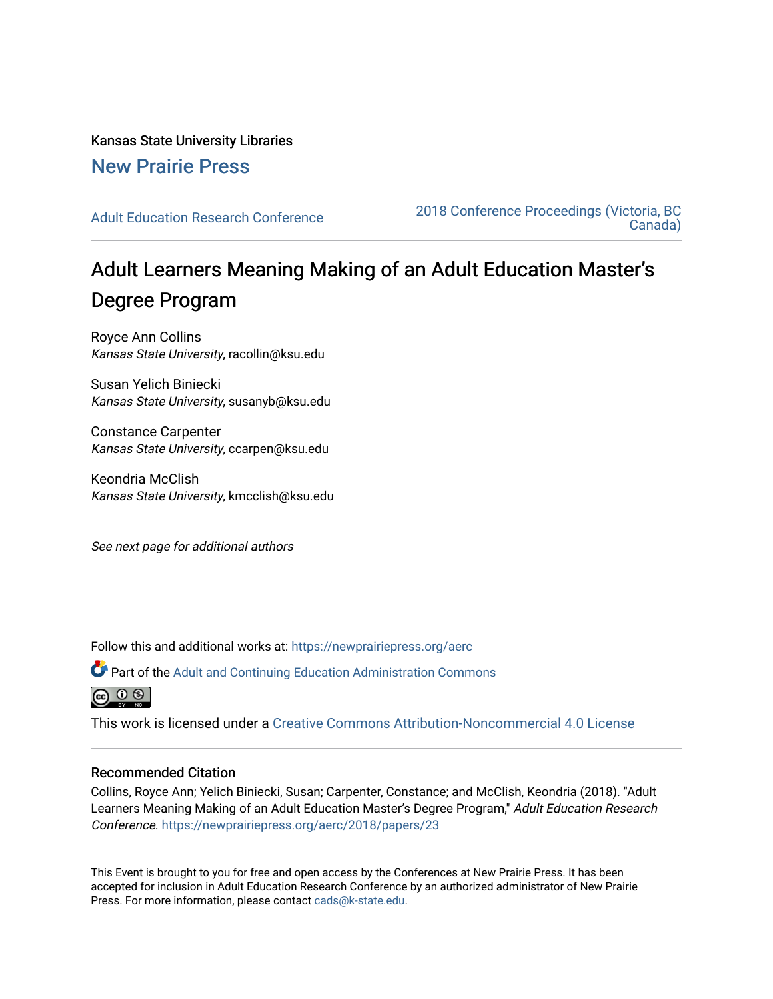Kansas State University Libraries [New Prairie Press](https://newprairiepress.org/) 

[Adult Education Research Conference](https://newprairiepress.org/aerc) [2018 Conference Proceedings \(Victoria, BC](https://newprairiepress.org/aerc/2018)  [Canada\)](https://newprairiepress.org/aerc/2018) 

# Adult Learners Meaning Making of an Adult Education Master's Degree Program

Royce Ann Collins Kansas State University, racollin@ksu.edu

Susan Yelich Biniecki Kansas State University, susanyb@ksu.edu

Constance Carpenter Kansas State University, ccarpen@ksu.edu

Keondria McClish Kansas State University, kmcclish@ksu.edu

See next page for additional authors

Follow this and additional works at: [https://newprairiepress.org/aerc](https://newprairiepress.org/aerc?utm_source=newprairiepress.org%2Faerc%2F2018%2Fpapers%2F23&utm_medium=PDF&utm_campaign=PDFCoverPages)

Part of the [Adult and Continuing Education Administration Commons](http://network.bepress.com/hgg/discipline/789?utm_source=newprairiepress.org%2Faerc%2F2018%2Fpapers%2F23&utm_medium=PDF&utm_campaign=PDFCoverPages)

ര  $\odot$   $\odot$ 

This work is licensed under a [Creative Commons Attribution-Noncommercial 4.0 License](https://creativecommons.org/licenses/by-nc/4.0/)

# Recommended Citation

Collins, Royce Ann; Yelich Biniecki, Susan; Carpenter, Constance; and McClish, Keondria (2018). "Adult Learners Meaning Making of an Adult Education Master's Degree Program," Adult Education Research Conference.<https://newprairiepress.org/aerc/2018/papers/23>

This Event is brought to you for free and open access by the Conferences at New Prairie Press. It has been accepted for inclusion in Adult Education Research Conference by an authorized administrator of New Prairie Press. For more information, please contact [cads@k-state.edu.](mailto:cads@k-state.edu)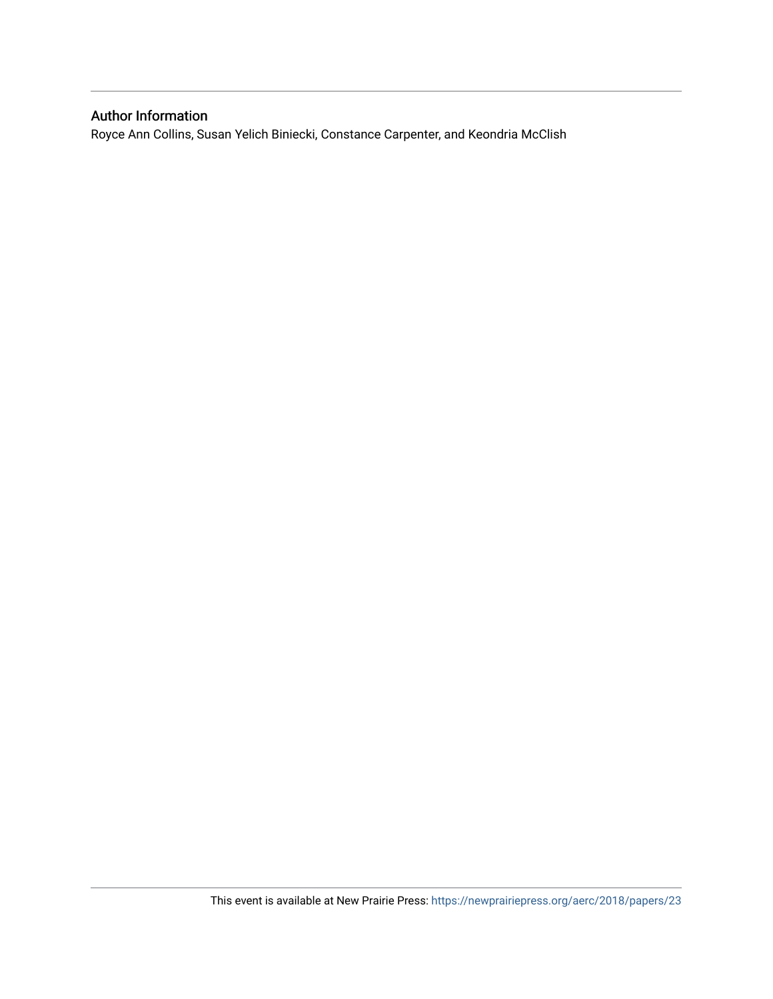# Author Information

Royce Ann Collins, Susan Yelich Biniecki, Constance Carpenter, and Keondria McClish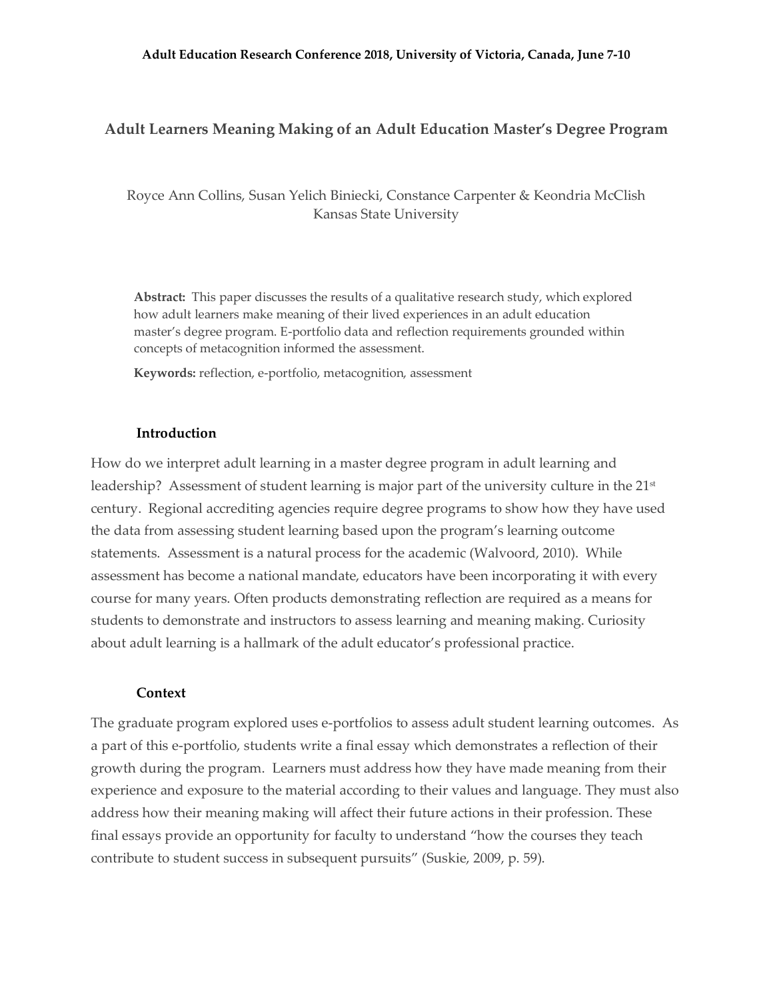# **Adult Learners Meaning Making of an Adult Education Master's Degree Program**

Royce Ann Collins, Susan Yelich Biniecki, Constance Carpenter & Keondria McClish Kansas State University

**Abstract:** This paper discusses the results of a qualitative research study, which explored how adult learners make meaning of their lived experiences in an adult education master's degree program. E-portfolio data and reflection requirements grounded within concepts of metacognition informed the assessment.

**Keywords:** reflection, e-portfolio, metacognition, assessment

#### **Introduction**

How do we interpret adult learning in a master degree program in adult learning and leadership? Assessment of student learning is major part of the university culture in the  $21<sup>st</sup>$ century. Regional accrediting agencies require degree programs to show how they have used the data from assessing student learning based upon the program's learning outcome statements. Assessment is a natural process for the academic (Walvoord, 2010). While assessment has become a national mandate, educators have been incorporating it with every course for many years. Often products demonstrating reflection are required as a means for students to demonstrate and instructors to assess learning and meaning making. Curiosity about adult learning is a hallmark of the adult educator's professional practice.

#### **Context**

The graduate program explored uses e-portfolios to assess adult student learning outcomes. As a part of this e-portfolio, students write a final essay which demonstrates a reflection of their growth during the program. Learners must address how they have made meaning from their experience and exposure to the material according to their values and language. They must also address how their meaning making will affect their future actions in their profession. These final essays provide an opportunity for faculty to understand "how the courses they teach contribute to student success in subsequent pursuits" (Suskie, 2009, p. 59).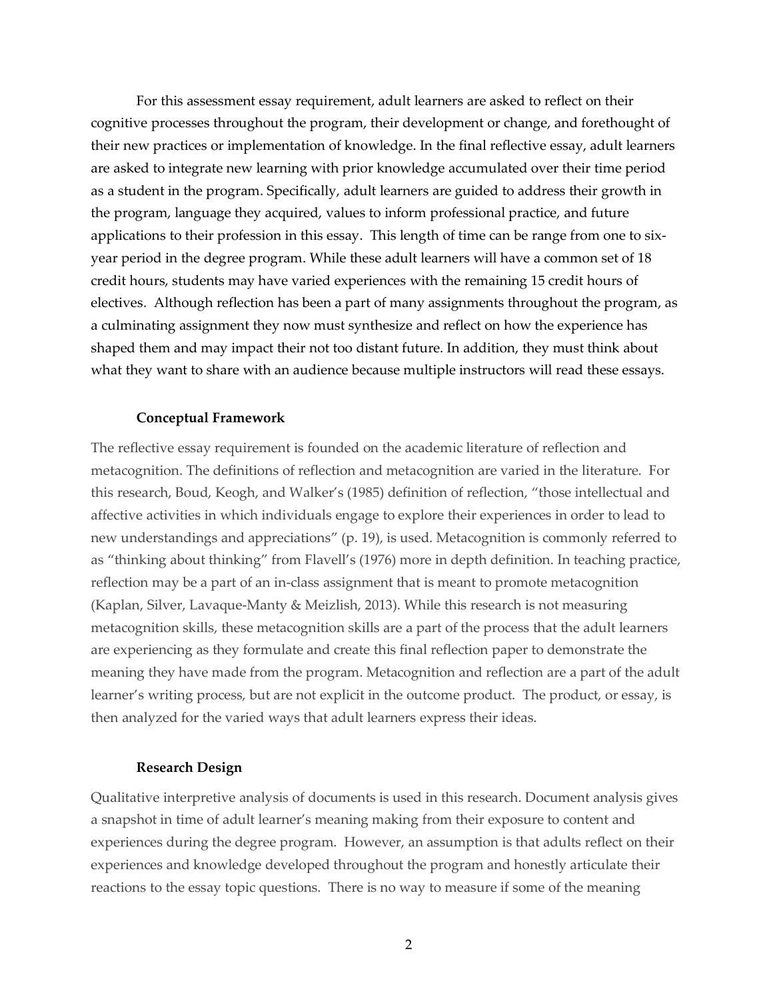For this assessment essay requirement, adult learners are asked to reflect on their cognitive processes throughout the program, their development or change, and forethought of their new practices or implementation of knowledge. In the final reflective essay, adult learners are asked to integrate new learning with prior knowledge accumulated over their time period as a student in the program. Specifically, adult learners are guided to address their growth in the program, language they acquired, values to inform professional practice, and future applications to their profession in this essay. This length of time can be range from one to sixyear period in the degree program. While these adult learners will have a common set of 18 credit hours, students may have varied experiences with the remaining 15 credit hours of electives. Although reflection has been a part of many assignments throughout the program, as a culminating assignment they now must synthesize and reflect on how the experience has shaped them and may impact their not too distant future. In addition, they must think about what they want to share with an audience because multiple instructors will read these essays.

#### **Conceptual Framework**

The reflective essay requirement is founded on the academic literature of reflection and metacognition. The definitions of reflection and metacognition are varied in the literature. For this research, Boud, Keogh, and Walker's (1985) definition of reflection, "those intellectual and affective activities in which individuals engage to explore their experiences in order to lead to new understandings and appreciations" (p. 19), is used. Metacognition is commonly referred to as "thinking about thinking" from Flavell's (1976) more in depth definition. In teaching practice, reflection may be a part of an in-class assignment that is meant to promote metacognition (Kaplan, Silver, Lavaque-Manty & Meizlish, 2013). While this research is not measuring metacognition skills, these metacognition skills are a part of the process that the adult learners are experiencing as they formulate and create this final reflection paper to demonstrate the meaning they have made from the program. Metacognition and reflection are a part of the adult learner's writing process, but are not explicit in the outcome product. The product, or essay, is then analyzed for the varied ways that adult learners express their ideas.

#### **Research Design**

Qualitative interpretive analysis of documents is used in this research. Document analysis gives a snapshot in time of adult learner's meaning making from their exposure to content and experiences during the degree program. However, an assumption is that adults reflect on their experiences and knowledge developed throughout the program and honestly articulate their reactions to the essay topic questions. There is no way to measure if some of the meaning

2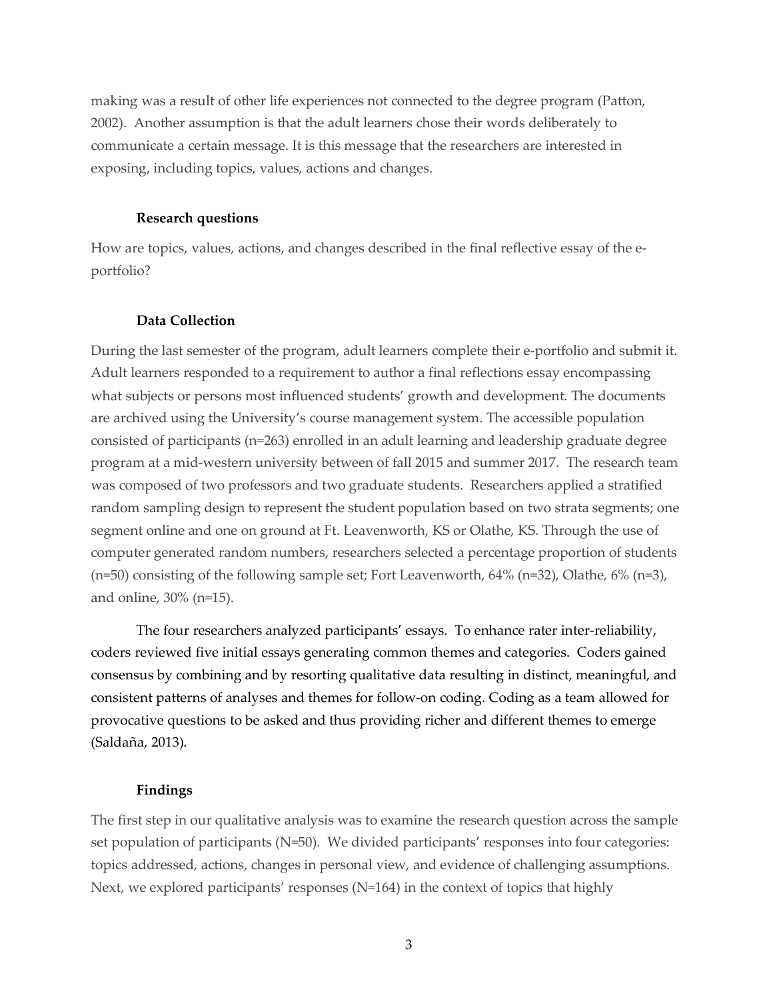making was a result of other life experiences not connected to the degree program (Patton, 2002). Another assumption is that the adult learners chose their words deliberately to communicate a certain message. It is this message that the researchers are interested in exposing, including topics, values, actions and changes.

#### **Research questions**

How are topics, values, actions, and changes described in the final reflective essay of the eportfolio?

## **Data Collection**

During the last semester of the program, adult learners complete their e-portfolio and submit it. Adult learners responded to a requirement to author a final reflections essay encompassing what subjects or persons most influenced students' growth and development. The documents are archived using the University's course management system. The accessible population consisted of participants (n=263) enrolled in an adult learning and leadership graduate degree program at a mid-western university between of fall 2015 and summer 2017. The research team was composed of two professors and two graduate students. Researchers applied a stratified random sampling design to represent the student population based on two strata segments; one segment online and one on ground at Ft. Leavenworth, KS or Olathe, KS. Through the use of computer generated random numbers, researchers selected a percentage proportion of students  $(n=50)$  consisting of the following sample set; Fort Leavenworth, 64%  $(n=32)$ , Olathe, 6%  $(n=3)$ , and online, 30% (n=15).

The four researchers analyzed participants' essays. To enhance rater inter-reliability, coders reviewed five initial essays generating common themes and categories. Coders gained consensus by combining and by resorting qualitative data resulting in distinct, meaningful, and consistent patterns of analyses and themes for follow-on coding. Coding as a team allowed for provocative questions to be asked and thus providing richer and different themes to emerge (Saldaña, 2013).

#### **Findings**

The first step in our qualitative analysis was to examine the research question across the sample set population of participants (N=50). We divided participants' responses into four categories: topics addressed, actions, changes in personal view, and evidence of challenging assumptions. Next, we explored participants' responses (N=164) in the context of topics that highly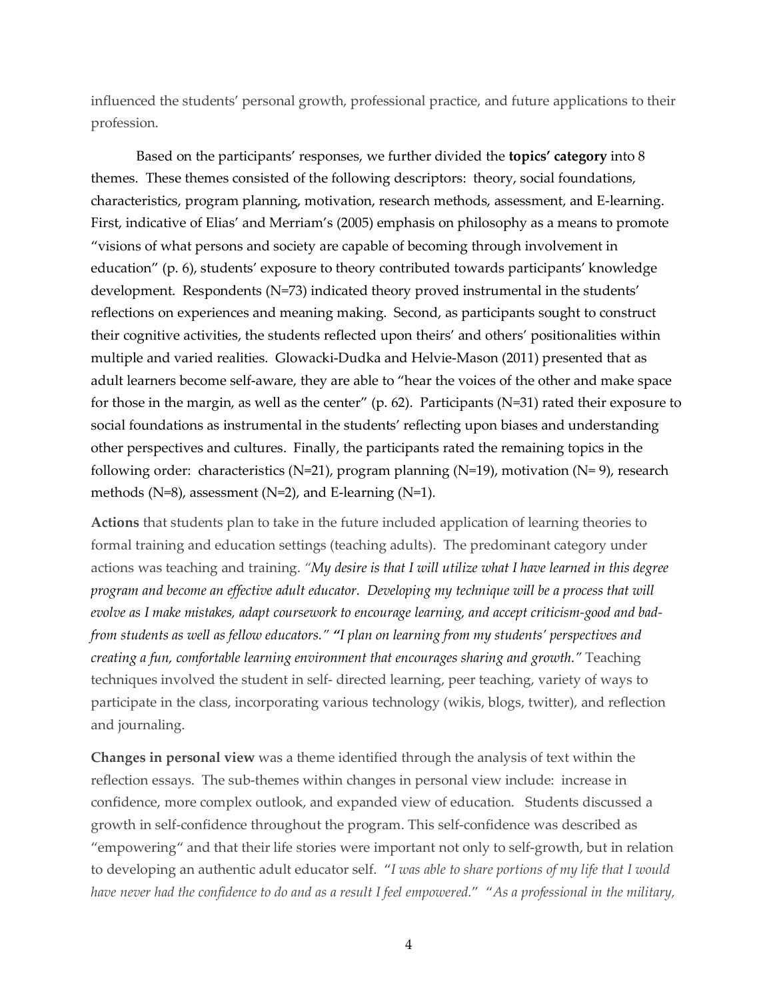influenced the students' personal growth, professional practice, and future applications to their profession.

Based on the participants' responses, we further divided the **topics' category** into 8 themes. These themes consisted of the following descriptors: theory, social foundations, characteristics, program planning, motivation, research methods, assessment, and E-learning. First, indicative of Elias' and Merriam's (2005) emphasis on philosophy as a means to promote "visions of what persons and society are capable of becoming through involvement in education" (p. 6), students' exposure to theory contributed towards participants' knowledge development. Respondents (N=73) indicated theory proved instrumental in the students' reflections on experiences and meaning making. Second, as participants sought to construct their cognitive activities, the students reflected upon theirs' and others' positionalities within multiple and varied realities. Glowacki-Dudka and Helvie-Mason (2011) presented that as adult learners become self-aware, they are able to "hear the voices of the other and make space for those in the margin, as well as the center" (p. 62). Participants (N=31) rated their exposure to social foundations as instrumental in the students' reflecting upon biases and understanding other perspectives and cultures. Finally, the participants rated the remaining topics in the following order: characteristics (N=21), program planning (N=19), motivation (N= 9), research methods ( $N=8$ ), assessment ( $N=2$ ), and E-learning ( $N=1$ ).

**Actions** that students plan to take in the future included application of learning theories to formal training and education settings (teaching adults). The predominant category under actions was teaching and training. *"My desire is that I will utilize what I have learned in this degree program and become an effective adult educator. Developing my technique will be a process that will evolve as I make mistakes, adapt coursework to encourage learning, and accept criticism-good and badfrom students as well as fellow educators." "I plan on learning from my students' perspectives and creating a fun, comfortable learning environment that encourages sharing and growth."* Teaching techniques involved the student in self- directed learning, peer teaching, variety of ways to participate in the class, incorporating various technology (wikis, blogs, twitter), and reflection and journaling.

**Changes in personal view** was a theme identified through the analysis of text within the reflection essays. The sub-themes within changes in personal view include: increase in confidence, more complex outlook, and expanded view of education. Students discussed a growth in self-confidence throughout the program. This self-confidence was described as "empowering" and that their life stories were important not only to self-growth, but in relation to developing an authentic adult educator self. "*I was able to share portions of my life that I would have never had the confidence to do and as a result I feel empowered.*" "*As a professional in the military,*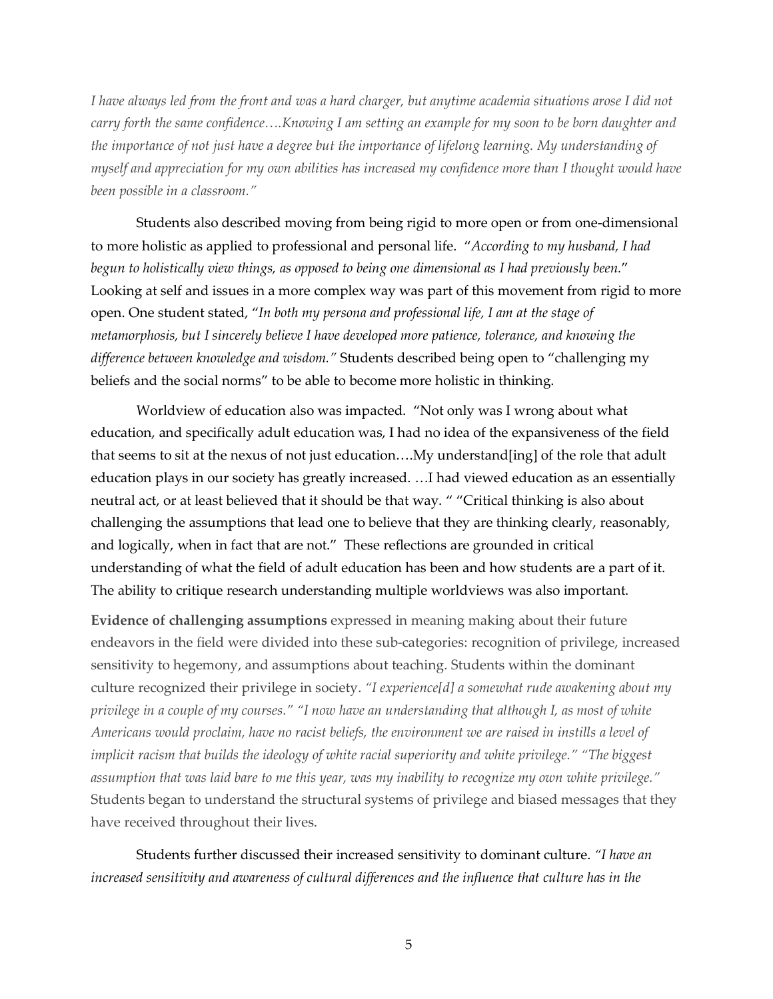*I have always led from the front and was a hard charger, but anytime academia situations arose I did not carry forth the same confidence….Knowing I am setting an example for my soon to be born daughter and the importance of not just have a degree but the importance of lifelong learning. My understanding of myself and appreciation for my own abilities has increased my confidence more than I thought would have been possible in a classroom."*

Students also described moving from being rigid to more open or from one-dimensional to more holistic as applied to professional and personal life. "*According to my husband, I had begun to holistically view things, as opposed to being one dimensional as I had previously been.*" Looking at self and issues in a more complex way was part of this movement from rigid to more open. One student stated, "*In both my persona and professional life, I am at the stage of metamorphosis, but I sincerely believe I have developed more patience, tolerance, and knowing the difference between knowledge and wisdom."* Students described being open to "challenging my beliefs and the social norms" to be able to become more holistic in thinking.

Worldview of education also was impacted. "Not only was I wrong about what education, and specifically adult education was, I had no idea of the expansiveness of the field that seems to sit at the nexus of not just education….My understand[ing] of the role that adult education plays in our society has greatly increased. …I had viewed education as an essentially neutral act, or at least believed that it should be that way. " "Critical thinking is also about challenging the assumptions that lead one to believe that they are thinking clearly, reasonably, and logically, when in fact that are not." These reflections are grounded in critical understanding of what the field of adult education has been and how students are a part of it. The ability to critique research understanding multiple worldviews was also important.

**Evidence of challenging assumptions** expressed in meaning making about their future endeavors in the field were divided into these sub-categories: recognition of privilege, increased sensitivity to hegemony, and assumptions about teaching. Students within the dominant culture recognized their privilege in society. *"I experience[d] a somewhat rude awakening about my privilege in a couple of my courses." "I now have an understanding that although I, as most of white Americans would proclaim, have no racist beliefs, the environment we are raised in instills a level of implicit racism that builds the ideology of white racial superiority and white privilege." "The biggest assumption that was laid bare to me this year, was my inability to recognize my own white privilege."*  Students began to understand the structural systems of privilege and biased messages that they have received throughout their lives.

Students further discussed their increased sensitivity to dominant culture. *"I have an increased sensitivity and awareness of cultural differences and the influence that culture has in the*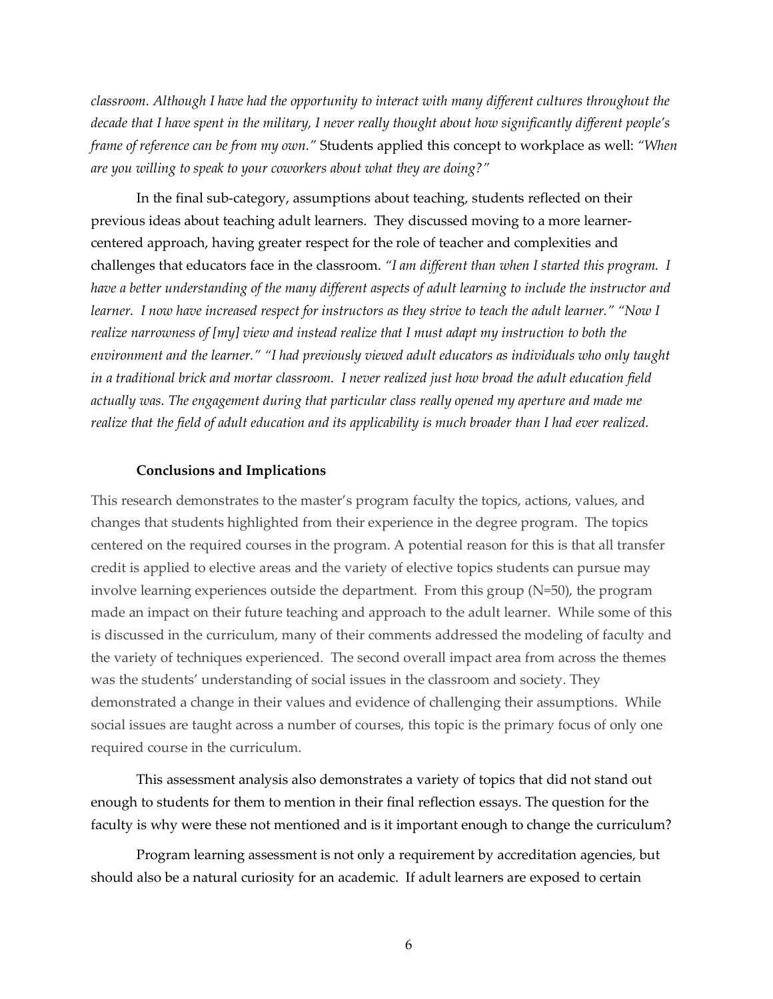*classroom. Although I have had the opportunity to interact with many different cultures throughout the decade that I have spent in the military, I never really thought about how significantly different people's frame of reference can be from my own."* Students applied this concept to workplace as well: *"When are you willing to speak to your coworkers about what they are doing?"*

In the final sub-category, assumptions about teaching, students reflected on their previous ideas about teaching adult learners. They discussed moving to a more learnercentered approach, having greater respect for the role of teacher and complexities and challenges that educators face in the classroom. *"I am different than when I started this program. I have a better understanding of the many different aspects of adult learning to include the instructor and learner. I now have increased respect for instructors as they strive to teach the adult learner." "Now I realize narrowness of [my] view and instead realize that I must adapt my instruction to both the environment and the learner." "I had previously viewed adult educators as individuals who only taught in a traditional brick and mortar classroom. I never realized just how broad the adult education field actually was. The engagement during that particular class really opened my aperture and made me realize that the field of adult education and its applicability is much broader than I had ever realized.*

#### **Conclusions and Implications**

This research demonstrates to the master's program faculty the topics, actions, values, and changes that students highlighted from their experience in the degree program. The topics centered on the required courses in the program. A potential reason for this is that all transfer credit is applied to elective areas and the variety of elective topics students can pursue may involve learning experiences outside the department. From this group (N=50), the program made an impact on their future teaching and approach to the adult learner. While some of this is discussed in the curriculum, many of their comments addressed the modeling of faculty and the variety of techniques experienced. The second overall impact area from across the themes was the students' understanding of social issues in the classroom and society. They demonstrated a change in their values and evidence of challenging their assumptions. While social issues are taught across a number of courses, this topic is the primary focus of only one required course in the curriculum.

This assessment analysis also demonstrates a variety of topics that did not stand out enough to students for them to mention in their final reflection essays. The question for the faculty is why were these not mentioned and is it important enough to change the curriculum?

Program learning assessment is not only a requirement by accreditation agencies, but should also be a natural curiosity for an academic. If adult learners are exposed to certain